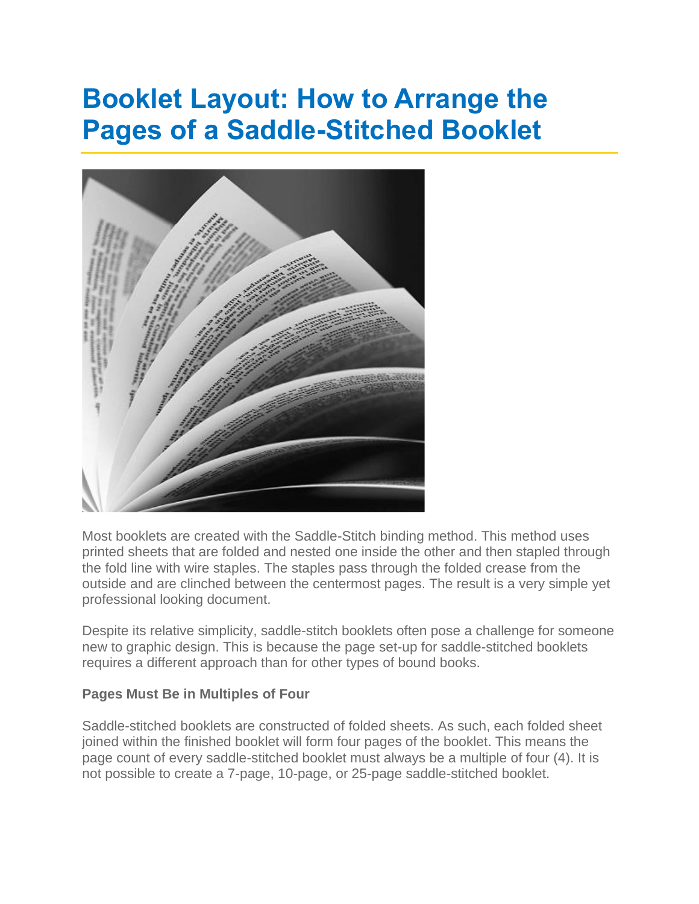## **Booklet Layout: How to Arrange the Pages of a Saddle-Stitched Booklet**



Most booklets are created with the Saddle-Stitch binding method. This method uses printed sheets that are folded and nested one inside the other and then stapled through the fold line with wire staples. The staples pass through the folded crease from the outside and are clinched between the centermost pages. The result is a very simple yet professional looking document.

Despite its relative simplicity, saddle-stitch booklets often pose a challenge for someone new to graphic design. This is because the page set-up for saddle-stitched booklets requires a different approach than for other types of bound books.

## **Pages Must Be in Multiples of Four**

Saddle-stitched booklets are constructed of folded sheets. As such, each folded sheet joined within the finished booklet will form four pages of the booklet. This means the page count of every saddle-stitched booklet must always be a multiple of four (4). It is not possible to create a 7-page, 10-page, or 25-page saddle-stitched booklet.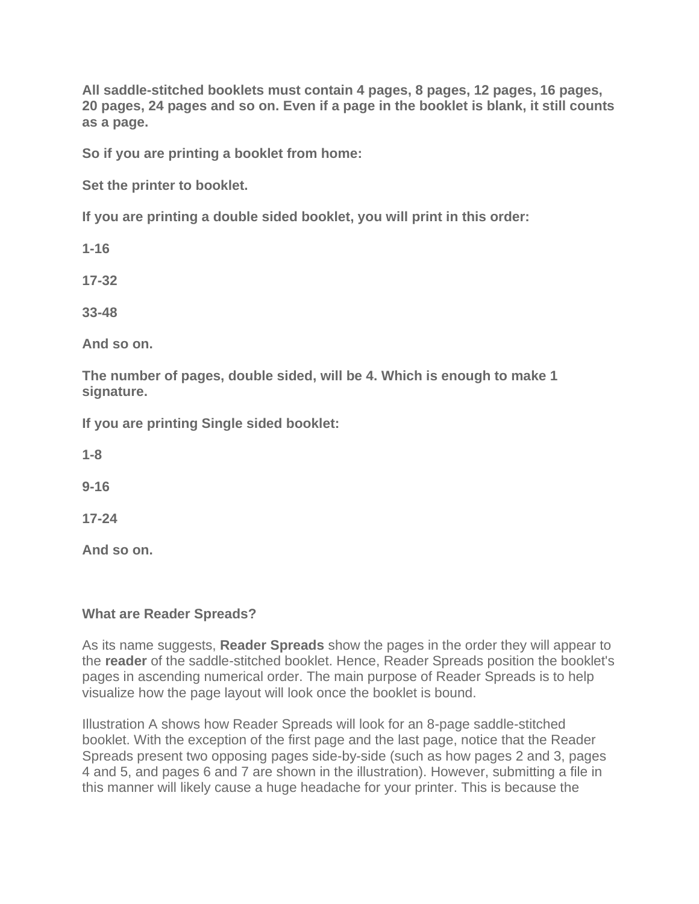**All saddle-stitched booklets must contain 4 pages, 8 pages, 12 pages, 16 pages, 20 pages, 24 pages and so on. Even if a page in the booklet is blank, it still counts as a page.**

**So if you are printing a booklet from home:**

**Set the printer to booklet.**

**If you are printing a double sided booklet, you will print in this order:**

**1-16**

**17-32**

**33-48**

**And so on.**

**The number of pages, double sided, will be 4. Which is enough to make 1 signature.**

**If you are printing Single sided booklet:**

**1-8**

**9-16**

**17-24**

**And so on.**

## **What are Reader Spreads?**

As its name suggests, **Reader Spreads** show the pages in the order they will appear to the **reader** of the saddle-stitched booklet. Hence, Reader Spreads position the booklet's pages in ascending numerical order. The main purpose of Reader Spreads is to help visualize how the page layout will look once the booklet is bound.

Illustration A shows how Reader Spreads will look for an 8-page saddle-stitched booklet. With the exception of the first page and the last page, notice that the Reader Spreads present two opposing pages side-by-side (such as how pages 2 and 3, pages 4 and 5, and pages 6 and 7 are shown in the illustration). However, submitting a file in this manner will likely cause a huge headache for your printer. This is because the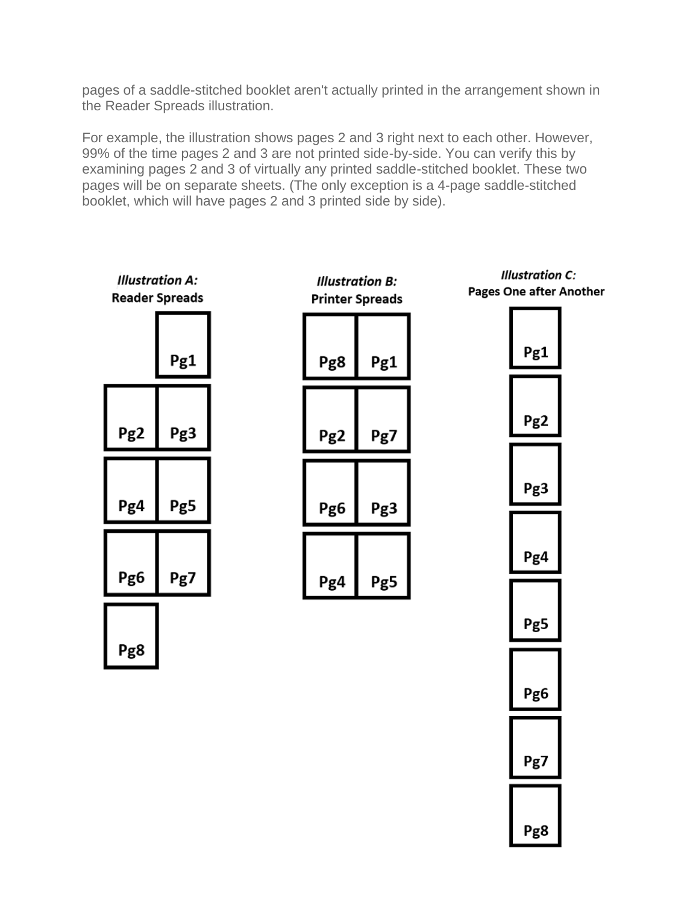pages of a saddle-stitched booklet aren't actually printed in the arrangement shown in the Reader Spreads illustration.

For example, the illustration shows pages 2 and 3 right next to each other. However, 99% of the time pages 2 and 3 are not printed side-by-side. You can verify this by examining pages 2 and 3 of virtually any printed saddle-stitched booklet. These two pages will be on separate sheets. (The only exception is a 4-page saddle-stitched booklet, which will have pages 2 and 3 printed side by side).